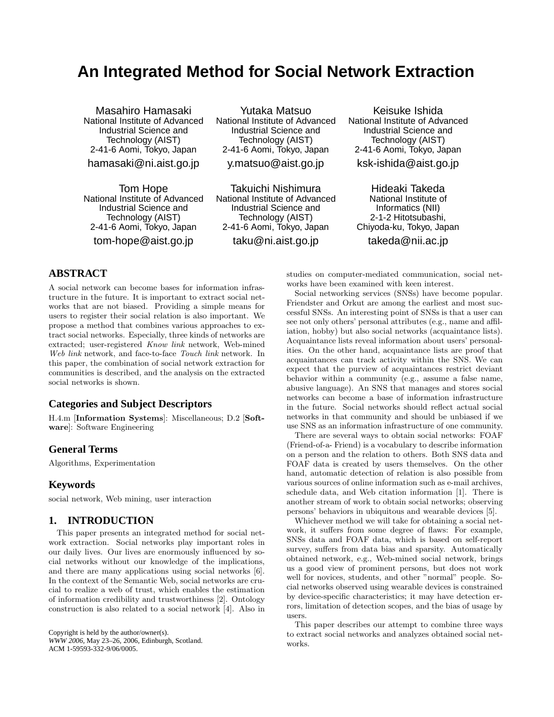# **An Integrated Method for Social Network Extraction**

Masahiro Hamasaki National Institute of Advanced Industrial Science and Technology (AIST) 2-41-6 Aomi, Tokyo, Japan hamasaki@ni.aist.go.jp

Tom Hope National Institute of Advanced Industrial Science and Technology (AIST) 2-41-6 Aomi, Tokyo, Japan tom-hope@aist.go.jp

Yutaka Matsuo National Institute of Advanced Industrial Science and Technology (AIST) 2-41-6 Aomi, Tokyo, Japan

y.matsuo@aist.go.jp

Takuichi Nishimura National Institute of Advanced Industrial Science and Technology (AIST) 2-41-6 Aomi, Tokyo, Japan taku@ni.aist.go.jp

Keisuke Ishida National Institute of Advanced Industrial Science and Technology (AIST) 2-41-6 Aomi, Tokyo, Japan ksk-ishida@aist.go.jp

Hideaki Takeda National Institute of Informatics (NII) 2-1-2 Hitotsubashi, Chiyoda-ku, Tokyo, Japan takeda@nii.ac.jp

studies on computer-mediated communication, social networks have been examined with keen interest.

Social networking services (SNSs) have become popular. Friendster and Orkut are among the earliest and most successful SNSs. An interesting point of SNSs is that a user can see not only others' personal attributes (e.g., name and affiliation, hobby) but also social networks (acquaintance lists). Acquaintance lists reveal information about users' personalities. On the other hand, acquaintance lists are proof that acquaintances can track activity within the SNS. We can expect that the purview of acquaintances restrict deviant behavior within a community (e.g., assume a false name, abusive language). An SNS that manages and stores social networks can become a base of information infrastructure in the future. Social networks should reflect actual social networks in that community and should be unbiased if we use SNS as an information infrastructure of one community.

There are several ways to obtain social networks: FOAF (Friend-of-a- Friend) is a vocabulary to describe information on a person and the relation to others. Both SNS data and FOAF data is created by users themselves. On the other hand, automatic detection of relation is also possible from various sources of online information such as e-mail archives, schedule data, and Web citation information [1]. There is another stream of work to obtain social networks; observing persons' behaviors in ubiquitous and wearable devices [5].

Whichever method we will take for obtaining a social network, it suffers from some degree of flaws: For example, SNSs data and FOAF data, which is based on self-report survey, suffers from data bias and sparsity. Automatically obtained network, e.g., Web-mined social network, brings us a good view of prominent persons, but does not work well for novices, students, and other "normal" people. Social networks observed using wearable devices is constrained by device-specific characteristics; it may have detection errors, limitation of detection scopes, and the bias of usage by users.

This paper describes our attempt to combine three ways to extract social networks and analyzes obtained social networks.

# **ABSTRACT**

A social network can become bases for information infrastructure in the future. It is important to extract social networks that are not biased. Providing a simple means for users to register their social relation is also important. We propose a method that combines various approaches to extract social networks. Especially, three kinds of networks are extracted; user-registered *Know link* network, Web-mined *Web link* network, and face-to-face *Touch link* network. In this paper, the combination of social network extraction for communities is described, and the analysis on the extracted social networks is shown.

# **Categories and Subject Descriptors**

H.4.m [**Information Systems**]: Miscellaneous; D.2 [**Software**]: Software Engineering

## **General Terms**

Algorithms, Experimentation

## **Keywords**

social network, Web mining, user interaction

## **1. INTRODUCTION**

This paper presents an integrated method for social network extraction. Social networks play important roles in our daily lives. Our lives are enormously influenced by social networks without our knowledge of the implications, and there are many applications using social networks [6]. In the context of the Semantic Web, social networks are crucial to realize a web of trust, which enables the estimation of information credibility and trustworthiness [2]. Ontology construction is also related to a social network [4]. Also in

Copyright is held by the author/owner(s). *WWW 2006,* May 23–26, 2006, Edinburgh, Scotland. ACM 1-59593-332-9/06/0005.